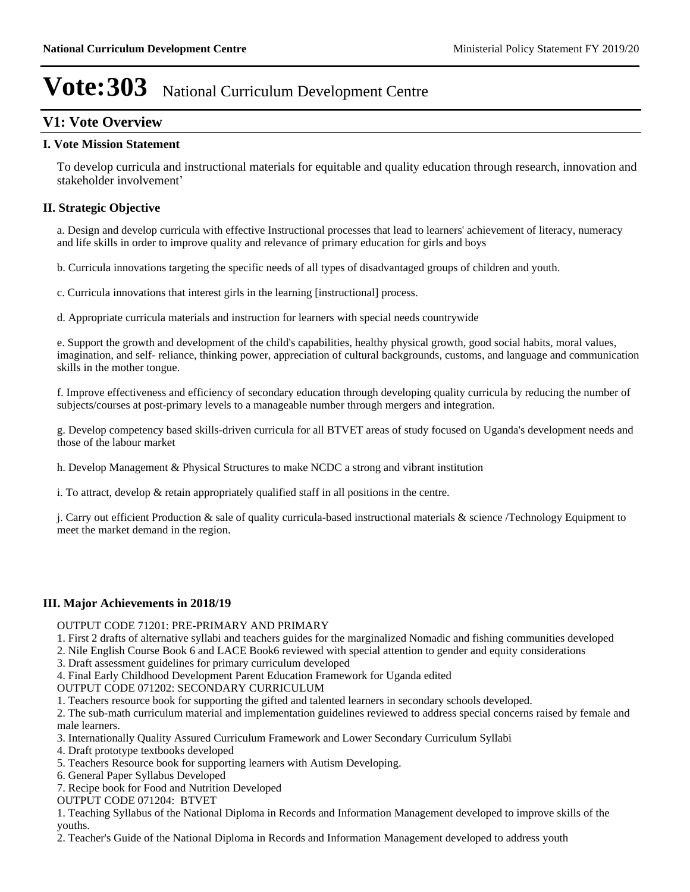## **V1: Vote Overview**

## **I. Vote Mission Statement**

To develop curricula and instructional materials for equitable and quality education through research, innovation and stakeholder involvement'

## **II. Strategic Objective**

a. Design and develop curricula with effective Instructional processes that lead to learners' achievement of literacy, numeracy and life skills in order to improve quality and relevance of primary education for girls and boys

b. Curricula innovations targeting the specific needs of all types of disadvantaged groups of children and youth.

c. Curricula innovations that interest girls in the learning [instructional] process.

d. Appropriate curricula materials and instruction for learners with special needs countrywide

e. Support the growth and development of the child's capabilities, healthy physical growth, good social habits, moral values, imagination, and self- reliance, thinking power, appreciation of cultural backgrounds, customs, and language and communication skills in the mother tongue.

f. Improve effectiveness and efficiency of secondary education through developing quality curricula by reducing the number of subjects/courses at post-primary levels to a manageable number through mergers and integration.

g. Develop competency based skills-driven curricula for all BTVET areas of study focused on Uganda's development needs and those of the labour market

h. Develop Management & Physical Structures to make NCDC a strong and vibrant institution

i. To attract, develop & retain appropriately qualified staff in all positions in the centre.

j. Carry out efficient Production & sale of quality curricula-based instructional materials & science /Technology Equipment to meet the market demand in the region.

## **III. Major Achievements in 2018/19**

#### OUTPUT CODE 71201: PRE-PRIMARY AND PRIMARY

1. First 2 drafts of alternative syllabi and teachers guides for the marginalized Nomadic and fishing communities developed

- 2. Nile English Course Book 6 and LACE Book6 reviewed with special attention to gender and equity considerations
- 3. Draft assessment guidelines for primary curriculum developed

4. Final Early Childhood Development Parent Education Framework for Uganda edited

OUTPUT CODE 071202: SECONDARY CURRICULUM

1. Teachers resource book for supporting the gifted and talented learners in secondary schools developed.

2. The sub-math curriculum material and implementation guidelines reviewed to address special concerns raised by female and male learners.

3. Internationally Quality Assured Curriculum Framework and Lower Secondary Curriculum Syllabi

4. Draft prototype textbooks developed

- 5. Teachers Resource book for supporting learners with Autism Developing.
- 6. General Paper Syllabus Developed
- 7. Recipe book for Food and Nutrition Developed

OUTPUT CODE 071204: BTVET

1. Teaching Syllabus of the National Diploma in Records and Information Management developed to improve skills of the youths.

2. Teacher's Guide of the National Diploma in Records and Information Management developed to address youth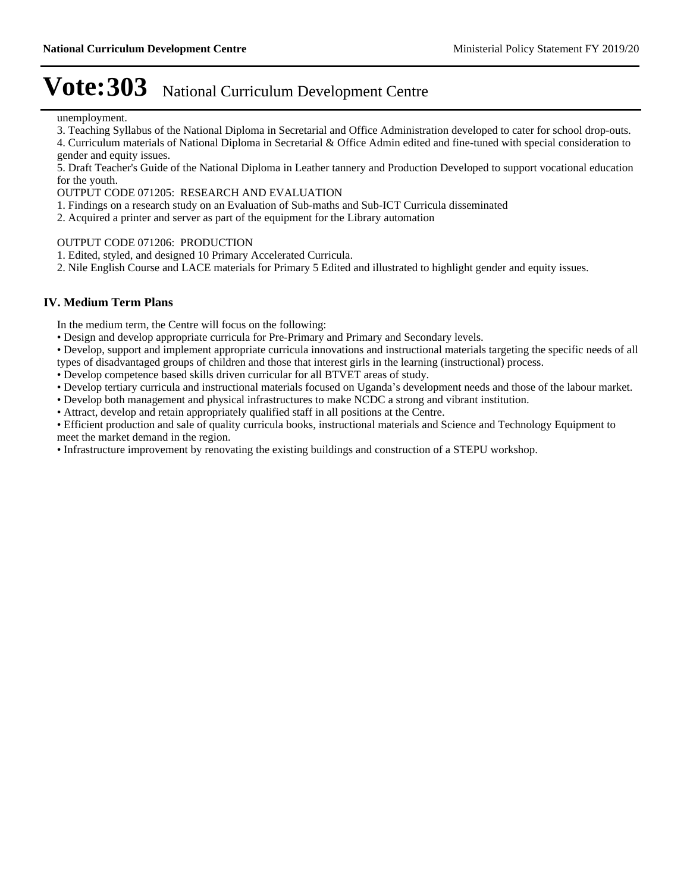unemployment.

3. Teaching Syllabus of the National Diploma in Secretarial and Office Administration developed to cater for school drop-outs.

4. Curriculum materials of National Diploma in Secretarial & Office Admin edited and fine-tuned with special consideration to gender and equity issues.

5. Draft Teacher's Guide of the National Diploma in Leather tannery and Production Developed to support vocational education for the youth.

OUTPUT CODE 071205: RESEARCH AND EVALUATION

1. Findings on a research study on an Evaluation of Sub-maths and Sub-ICT Curricula disseminated

2. Acquired a printer and server as part of the equipment for the Library automation

OUTPUT CODE 071206: PRODUCTION

1. Edited, styled, and designed 10 Primary Accelerated Curricula.

2. Nile English Course and LACE materials for Primary 5 Edited and illustrated to highlight gender and equity issues.

#### **IV. Medium Term Plans**

In the medium term, the Centre will focus on the following:

Design and develop appropriate curricula for Pre-Primary and Primary and Secondary levels.

Develop, support and implement appropriate curricula innovations and instructional materials targeting the specific needs of all types of disadvantaged groups of children and those that interest girls in the learning (instructional) process.

Develop competence based skills driven curricular for all BTVET areas of study.

• Develop tertiary curricula and instructional materials focused on Uganda's development needs and those of the labour market.

Develop both management and physical infrastructures to make NCDC a strong and vibrant institution.

Attract, develop and retain appropriately qualified staff in all positions at the Centre.

Efficient production and sale of quality curricula books, instructional materials and Science and Technology Equipment to meet the market demand in the region.

Infrastructure improvement by renovating the existing buildings and construction of a STEPU workshop.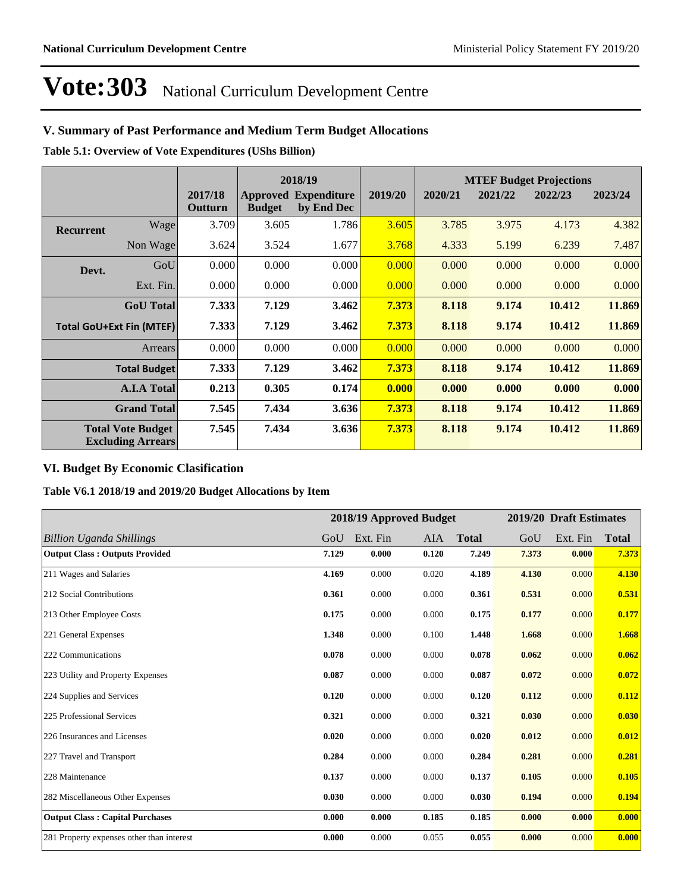## **V. Summary of Past Performance and Medium Term Budget Allocations**

**Table 5.1: Overview of Vote Expenditures (UShs Billion)**

|                                 |                                                      |                    | 2018/19       |                                           |         |         |         | <b>MTEF Budget Projections</b> |         |
|---------------------------------|------------------------------------------------------|--------------------|---------------|-------------------------------------------|---------|---------|---------|--------------------------------|---------|
|                                 |                                                      | 2017/18<br>Outturn | <b>Budget</b> | <b>Approved Expenditure</b><br>by End Dec | 2019/20 | 2020/21 | 2021/22 | 2022/23                        | 2023/24 |
| <b>Recurrent</b>                | Wage                                                 | 3.709              | 3.605         | 1.786                                     | 3.605   | 3.785   | 3.975   | 4.173                          | 4.382   |
|                                 | Non Wage                                             | 3.624              | 3.524         | 1.677                                     | 3.768   | 4.333   | 5.199   | 6.239                          | 7.487   |
| Devt.                           | GoU                                                  | 0.000              | 0.000         | 0.000                                     | 0.000   | 0.000   | 0.000   | 0.000                          | 0.000   |
|                                 | Ext. Fin.                                            | 0.000              | 0.000         | 0.000                                     | 0.000   | 0.000   | 0.000   | 0.000                          | 0.000   |
|                                 | <b>GoU</b> Total                                     | 7.333              | 7.129         | 3.462                                     | 7.373   | 8.118   | 9.174   | 10.412                         | 11.869  |
| <b>Total GoU+Ext Fin (MTEF)</b> |                                                      | 7.333              | 7.129         | 3.462                                     | 7.373   | 8.118   | 9.174   | 10.412                         | 11.869  |
|                                 | <b>Arrears</b>                                       | 0.000              | 0.000         | 0.000                                     | 0.000   | 0.000   | 0.000   | 0.000                          | 0.000   |
|                                 | <b>Total Budget</b>                                  | 7.333              | 7.129         | 3.462                                     | 7.373   | 8.118   | 9.174   | 10.412                         | 11.869  |
|                                 | <b>A.I.A Total</b>                                   | 0.213              | 0.305         | 0.174                                     | 0.000   | 0.000   | 0.000   | 0.000                          | 0.000   |
|                                 | <b>Grand Total</b>                                   | 7.545              | 7.434         | 3.636                                     | 7.373   | 8.118   | 9.174   | 10.412                         | 11.869  |
|                                 | <b>Total Vote Budget</b><br><b>Excluding Arrears</b> | 7.545              | 7.434         | 3.636                                     | 7.373   | 8.118   | 9.174   | 10.412                         | 11.869  |

## **VI. Budget By Economic Clasification**

**Table V6.1 2018/19 and 2019/20 Budget Allocations by Item**

|                                           |       |          | 2018/19 Approved Budget |              |       | 2019/20 Draft Estimates |              |
|-------------------------------------------|-------|----------|-------------------------|--------------|-------|-------------------------|--------------|
| <b>Billion Uganda Shillings</b>           | GoU   | Ext. Fin | AIA                     | <b>Total</b> | GoU   | Ext. Fin                | <b>Total</b> |
| <b>Output Class: Outputs Provided</b>     | 7.129 | 0.000    | 0.120                   | 7.249        | 7.373 | 0.000                   | 7.373        |
| 211 Wages and Salaries                    | 4.169 | 0.000    | 0.020                   | 4.189        | 4.130 | 0.000                   | 4.130        |
| 212 Social Contributions                  | 0.361 | 0.000    | 0.000                   | 0.361        | 0.531 | 0.000                   | 0.531        |
| 213 Other Employee Costs                  | 0.175 | 0.000    | 0.000                   | 0.175        | 0.177 | 0.000                   | 0.177        |
| 221 General Expenses                      | 1.348 | 0.000    | 0.100                   | 1.448        | 1.668 | 0.000                   | 1.668        |
| 222 Communications                        | 0.078 | 0.000    | 0.000                   | 0.078        | 0.062 | 0.000                   | 0.062        |
| 223 Utility and Property Expenses         | 0.087 | 0.000    | 0.000                   | 0.087        | 0.072 | 0.000                   | 0.072        |
| 224 Supplies and Services                 | 0.120 | 0.000    | 0.000                   | 0.120        | 0.112 | 0.000                   | 0.112        |
| 225 Professional Services                 | 0.321 | 0.000    | 0.000                   | 0.321        | 0.030 | 0.000                   | 0.030        |
| 226 Insurances and Licenses               | 0.020 | 0.000    | 0.000                   | 0.020        | 0.012 | 0.000                   | 0.012        |
| 227 Travel and Transport                  | 0.284 | 0.000    | 0.000                   | 0.284        | 0.281 | 0.000                   | 0.281        |
| 228 Maintenance                           | 0.137 | 0.000    | 0.000                   | 0.137        | 0.105 | 0.000                   | 0.105        |
| 282 Miscellaneous Other Expenses          | 0.030 | 0.000    | 0.000                   | 0.030        | 0.194 | 0.000                   | 0.194        |
| <b>Output Class: Capital Purchases</b>    | 0.000 | 0.000    | 0.185                   | 0.185        | 0.000 | 0.000                   | 0.000        |
| 281 Property expenses other than interest | 0.000 | 0.000    | 0.055                   | 0.055        | 0.000 | 0.000                   | 0.000        |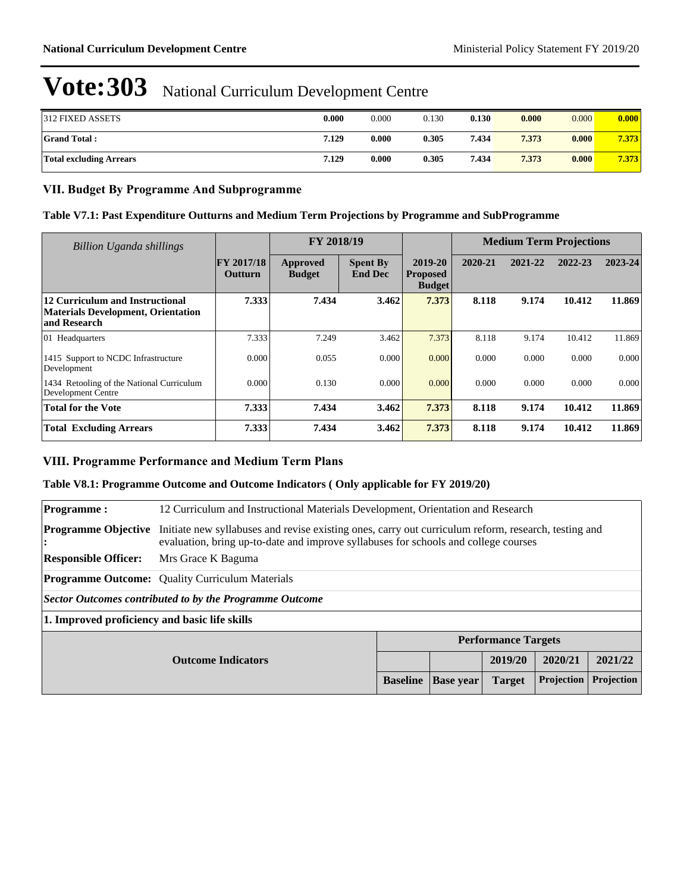| <b>312 FIXED ASSETS</b>        | 0.000 | 0.000 | 0.130 | 0.130 | 0.000 | 0.000 | 0.000 |
|--------------------------------|-------|-------|-------|-------|-------|-------|-------|
| <b>Grand Total:</b>            | 7.129 | 0.000 | 0.305 | 7.434 | 7.373 | 0.000 | 7.373 |
| <b>Total excluding Arrears</b> | 7.129 | 0.000 | 0.305 | 7.434 | 7.373 | 0.000 | 7.373 |

## **VII. Budget By Programme And Subprogramme**

#### **Table V7.1: Past Expenditure Outturns and Medium Term Projections by Programme and SubProgramme**

| Billion Uganda shillings                                                                     |                                     | FY 2018/19                |                                   |                                             | <b>Medium Term Projections</b> |         |         |         |
|----------------------------------------------------------------------------------------------|-------------------------------------|---------------------------|-----------------------------------|---------------------------------------------|--------------------------------|---------|---------|---------|
|                                                                                              | <b>FY 2017/18</b><br><b>Outturn</b> | Approved<br><b>Budget</b> | <b>Spent By</b><br><b>End Dec</b> | 2019-20<br><b>Proposed</b><br><b>Budget</b> | 2020-21                        | 2021-22 | 2022-23 | 2023-24 |
| 12 Curriculum and Instructional<br><b>Materials Development, Orientation</b><br>and Research | 7.333                               | 7.434                     | 3.462                             | 7.373                                       | 8.118                          | 9.174   | 10.412  | 11.869  |
| 01 Headquarters                                                                              | 7.333                               | 7.249                     | 3.462                             | 7.373                                       | 8.118                          | 9.174   | 10.412  | 11.869  |
| 1415 Support to NCDC Infrastructure<br>Development                                           | 0.000                               | 0.055                     | 0.000                             | 0.000                                       | 0.000                          | 0.000   | 0.000   | 0.000   |
| 1434 Retooling of the National Curriculum<br><b>Development Centre</b>                       | 0.000                               | 0.130                     | 0.000                             | 0.000                                       | 0.000                          | 0.000   | 0.000   | 0.000   |
| <b>Total for the Vote</b>                                                                    | 7.333                               | 7.434                     | 3.462                             | 7.373                                       | 8.118                          | 9.174   | 10.412  | 11.869  |
| <b>Total Excluding Arrears</b>                                                               | 7.333                               | 7.434                     | 3.462                             | 7.373                                       | 8.118                          | 9.174   | 10.412  | 11.869  |

## **VIII. Programme Performance and Medium Term Plans**

#### **Table V8.1: Programme Outcome and Outcome Indicators ( Only applicable for FY 2019/20)**

| <b>Programme:</b>                            | 12 Curriculum and Instructional Materials Development, Orientation and Research                                                                                                             |                 |                  |               |            |            |  |  |
|----------------------------------------------|---------------------------------------------------------------------------------------------------------------------------------------------------------------------------------------------|-----------------|------------------|---------------|------------|------------|--|--|
| <b>Programme Objective</b><br>$\ddot{\cdot}$ | Initiate new syllabuses and revise existing ones, carry out curriculum reform, research, testing and<br>evaluation, bring up-to-date and improve syllabuses for schools and college courses |                 |                  |               |            |            |  |  |
| <b>Responsible Officer:</b>                  | Mrs Grace K Baguma                                                                                                                                                                          |                 |                  |               |            |            |  |  |
|                                              | <b>Programme Outcome:</b> Quality Curriculum Materials                                                                                                                                      |                 |                  |               |            |            |  |  |
|                                              | Sector Outcomes contributed to by the Programme Outcome                                                                                                                                     |                 |                  |               |            |            |  |  |
|                                              | 1. Improved proficiency and basic life skills                                                                                                                                               |                 |                  |               |            |            |  |  |
|                                              | <b>Performance Targets</b>                                                                                                                                                                  |                 |                  |               |            |            |  |  |
| <b>Outcome Indicators</b>                    |                                                                                                                                                                                             |                 |                  | 2019/20       | 2020/21    | 2021/22    |  |  |
|                                              |                                                                                                                                                                                             | <b>Baseline</b> | <b>Base year</b> | <b>Target</b> | Projection | Projection |  |  |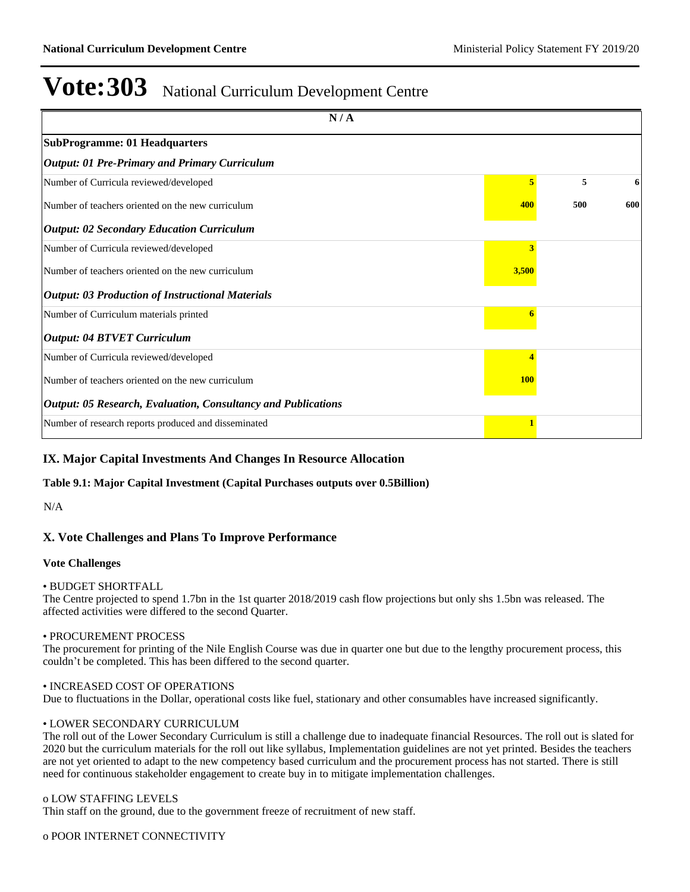| N/A                                                           |            |     |     |
|---------------------------------------------------------------|------------|-----|-----|
| <b>SubProgramme: 01 Headquarters</b>                          |            |     |     |
| Output: 01 Pre-Primary and Primary Curriculum                 |            |     |     |
| Number of Curricula reviewed/developed                        | 5          | 5   | 6   |
| Number of teachers oriented on the new curriculum             | 400        | 500 | 600 |
| <b>Output: 02 Secondary Education Curriculum</b>              |            |     |     |
| Number of Curricula reviewed/developed                        | 3          |     |     |
| Number of teachers oriented on the new curriculum             | 3,500      |     |     |
| <b>Output: 03 Production of Instructional Materials</b>       |            |     |     |
| Number of Curriculum materials printed                        |            |     |     |
| <b>Output: 04 BTVET Curriculum</b>                            |            |     |     |
| Number of Curricula reviewed/developed                        |            |     |     |
| Number of teachers oriented on the new curriculum             | <b>100</b> |     |     |
| Output: 05 Research, Evaluation, Consultancy and Publications |            |     |     |
| Number of research reports produced and disseminated          |            |     |     |

## **IX. Major Capital Investments And Changes In Resource Allocation**

**Table 9.1: Major Capital Investment (Capital Purchases outputs over 0.5Billion)**

N/A

## **X. Vote Challenges and Plans To Improve Performance**

#### **Vote Challenges**

#### BUDGET SHORTFALL

The Centre projected to spend 1.7bn in the 1st quarter 2018/2019 cash flow projections but only shs 1.5bn was released. The affected activities were differed to the second Quarter.

#### PROCUREMENT PROCESS

The procurement for printing of the Nile English Course was due in quarter one but due to the lengthy procurement process, this couldn't be completed. This has been differed to the second quarter.

#### INCREASED COST OF OPERATIONS

Due to fluctuations in the Dollar, operational costs like fuel, stationary and other consumables have increased significantly.

## LOWER SECONDARY CURRICULUM

The roll out of the Lower Secondary Curriculum is still a challenge due to inadequate financial Resources. The roll out is slated for 2020 but the curriculum materials for the roll out like syllabus, Implementation guidelines are not yet printed. Besides the teachers are not yet oriented to adapt to the new competency based curriculum and the procurement process has not started. There is still need for continuous stakeholder engagement to create buy in to mitigate implementation challenges.

#### o LOW STAFFING LEVELS

Thin staff on the ground, due to the government freeze of recruitment of new staff.

o POOR INTERNET CONNECTIVITY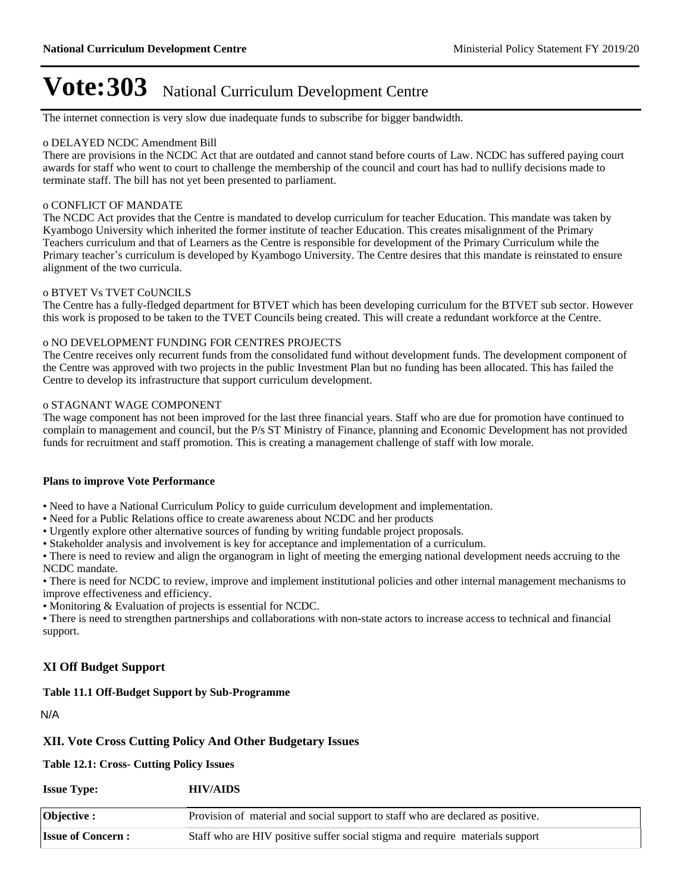The internet connection is very slow due inadequate funds to subscribe for bigger bandwidth.

#### o DELAYED NCDC Amendment Bill

There are provisions in the NCDC Act that are outdated and cannot stand before courts of Law. NCDC has suffered paying court awards for staff who went to court to challenge the membership of the council and court has had to nullify decisions made to terminate staff. The bill has not yet been presented to parliament.

#### o CONFLICT OF MANDATE

The NCDC Act provides that the Centre is mandated to develop curriculum for teacher Education. This mandate was taken by Kyambogo University which inherited the former institute of teacher Education. This creates misalignment of the Primary Teachers curriculum and that of Learners as the Centre is responsible for development of the Primary Curriculum while the Primary teacher's curriculum is developed by Kyambogo University. The Centre desires that this mandate is reinstated to ensure alignment of the two curricula.

#### o BTVET Vs TVET CoUNCILS

The Centre has a fully-fledged department for BTVET which has been developing curriculum for the BTVET sub sector. However this work is proposed to be taken to the TVET Councils being created. This will create a redundant workforce at the Centre.

#### o NO DEVELOPMENT FUNDING FOR CENTRES PROJECTS

The Centre receives only recurrent funds from the consolidated fund without development funds. The development component of the Centre was approved with two projects in the public Investment Plan but no funding has been allocated. This has failed the Centre to develop its infrastructure that support curriculum development.

#### o STAGNANT WAGE COMPONENT

The wage component has not been improved for the last three financial years. Staff who are due for promotion have continued to complain to management and council, but the P/s ST Ministry of Finance, planning and Economic Development has not provided funds for recruitment and staff promotion. This is creating a management challenge of staff with low morale.

#### **Plans to improve Vote Performance**

• Need to have a National Curriculum Policy to guide curriculum development and implementation.

- Need for a Public Relations office to create awareness about NCDC and her products
- Urgently explore other alternative sources of funding by writing fundable project proposals.
- Stakeholder analysis and involvement is key for acceptance and implementation of a curriculum.

There is need to review and align the organogram in light of meeting the emerging national development needs accruing to the NCDC mandate.

There is need for NCDC to review, improve and implement institutional policies and other internal management mechanisms to improve effectiveness and efficiency.

Monitoring & Evaluation of projects is essential for NCDC.

There is need to strengthen partnerships and collaborations with non-state actors to increase access to technical and financial support.

## **XI Off Budget Support**

#### **Table 11.1 Off-Budget Support by Sub-Programme**

N/A

## **XII. Vote Cross Cutting Policy And Other Budgetary Issues**

**Table 12.1: Cross- Cutting Policy Issues**

| <b>Issue Type:</b>       | <b>HIV/AIDS</b>                                                                 |
|--------------------------|---------------------------------------------------------------------------------|
| $\vert$ Objective :      | Provision of material and social support to staff who are declared as positive. |
| <b>Issue of Concern:</b> | Staff who are HIV positive suffer social stigma and require materials support   |